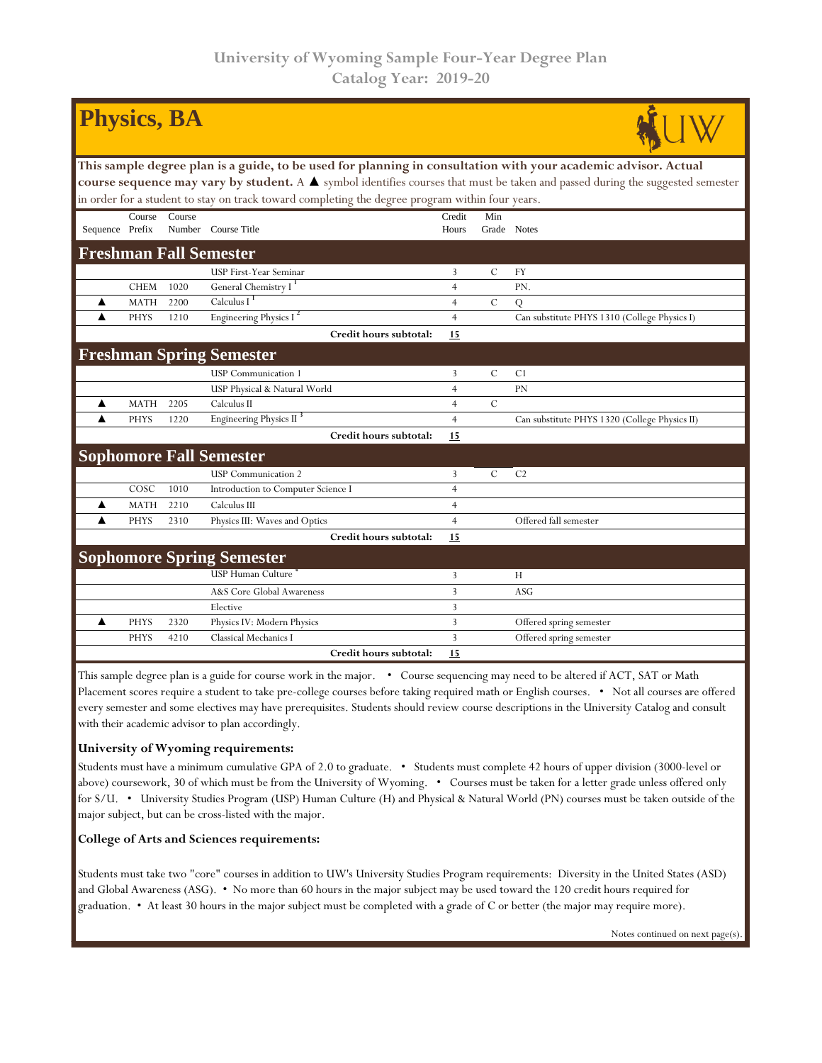| <b>Physics, BA</b>                                                                                                                            |                               |        |                                     |                |               |                                               |  |  |  |  |  |
|-----------------------------------------------------------------------------------------------------------------------------------------------|-------------------------------|--------|-------------------------------------|----------------|---------------|-----------------------------------------------|--|--|--|--|--|
| This sample degree plan is a guide, to be used for planning in consultation with your academic advisor. Actual                                |                               |        |                                     |                |               |                                               |  |  |  |  |  |
| course sequence may vary by student. A $\blacktriangle$ symbol identifies courses that must be taken and passed during the suggested semester |                               |        |                                     |                |               |                                               |  |  |  |  |  |
| in order for a student to stay on track toward completing the degree program within four years.                                               |                               |        |                                     |                |               |                                               |  |  |  |  |  |
|                                                                                                                                               | Course                        | Course |                                     | Credit         | Min           |                                               |  |  |  |  |  |
| Sequence Prefix                                                                                                                               |                               |        | Number Course Title                 | Hours          | Grade Notes   |                                               |  |  |  |  |  |
|                                                                                                                                               | <b>Freshman Fall Semester</b> |        |                                     |                |               |                                               |  |  |  |  |  |
|                                                                                                                                               |                               |        | USP First-Year Seminar              | $\overline{3}$ | $\mathcal{C}$ | <b>FY</b>                                     |  |  |  |  |  |
|                                                                                                                                               | <b>CHEM</b>                   | 1020   | General Chemistry I <sup>1</sup>    | $\overline{4}$ |               | PN.                                           |  |  |  |  |  |
| ▲                                                                                                                                             | <b>MATH</b>                   | 2200   | Calculus I $1$                      | $\overline{4}$ | $\mathcal{C}$ | Q                                             |  |  |  |  |  |
| ▲                                                                                                                                             | <b>PHYS</b>                   | 1210   | Engineering Physics I <sup>2</sup>  | $\overline{4}$ |               | Can substitute PHYS 1310 (College Physics I)  |  |  |  |  |  |
|                                                                                                                                               |                               |        | Credit hours subtotal:              | 15             |               |                                               |  |  |  |  |  |
|                                                                                                                                               |                               |        | <b>Freshman Spring Semester</b>     |                |               |                                               |  |  |  |  |  |
|                                                                                                                                               |                               |        | <b>USP</b> Communication 1          | 3              | $\mathcal{C}$ | C1                                            |  |  |  |  |  |
|                                                                                                                                               |                               |        | USP Physical & Natural World        | $\overline{4}$ |               | PN                                            |  |  |  |  |  |
| ▲                                                                                                                                             | <b>MATH</b>                   | 2205   | Calculus II                         | $\overline{4}$ | $\mathcal{C}$ |                                               |  |  |  |  |  |
| ▲                                                                                                                                             | <b>PHYS</b>                   | 1220   | Engineering Physics II <sup>3</sup> | $\overline{4}$ |               | Can substitute PHYS 1320 (College Physics II) |  |  |  |  |  |
|                                                                                                                                               |                               |        | Credit hours subtotal:              | 15             |               |                                               |  |  |  |  |  |
|                                                                                                                                               |                               |        | <b>Sophomore Fall Semester</b>      |                |               |                                               |  |  |  |  |  |
|                                                                                                                                               |                               |        | <b>USP</b> Communication 2          | 3              | $\mathbf C$   | C <sub>2</sub>                                |  |  |  |  |  |
|                                                                                                                                               | COSC                          | 1010   | Introduction to Computer Science I  | $\overline{4}$ |               |                                               |  |  |  |  |  |
| ▲                                                                                                                                             | <b>MATH</b>                   | 2210   | Calculus III                        | $\overline{4}$ |               |                                               |  |  |  |  |  |
| $\blacktriangle$                                                                                                                              | <b>PHYS</b>                   | 2310   | Physics III: Waves and Optics       | $\overline{4}$ |               | Offered fall semester                         |  |  |  |  |  |
|                                                                                                                                               |                               |        | Credit hours subtotal:              | 15             |               |                                               |  |  |  |  |  |
| <b>Sophomore Spring Semester</b>                                                                                                              |                               |        |                                     |                |               |                                               |  |  |  |  |  |
|                                                                                                                                               |                               |        | USP Human Culture <sup>4</sup>      | 3              |               | H                                             |  |  |  |  |  |
|                                                                                                                                               |                               |        | A&S Core Global Awareness           | 3              |               | <b>ASG</b>                                    |  |  |  |  |  |
|                                                                                                                                               |                               |        | Elective                            | 3              |               |                                               |  |  |  |  |  |
| ▲                                                                                                                                             | <b>PHYS</b>                   | 2320   | Physics IV: Modern Physics          | 3              |               | Offered spring semester                       |  |  |  |  |  |
|                                                                                                                                               | <b>PHYS</b>                   | 4210   | Classical Mechanics I               | $\overline{3}$ |               | Offered spring semester                       |  |  |  |  |  |
|                                                                                                                                               |                               |        | Credit hours subtotal:              | 15             |               |                                               |  |  |  |  |  |

This sample degree plan is a guide for course work in the major. • Course sequencing may need to be altered if ACT, SAT or Math Placement scores require a student to take pre-college courses before taking required math or English courses. • Not all courses are offered every semester and some electives may have prerequisites. Students should review course descriptions in the University Catalog and consult with their academic advisor to plan accordingly.

## **University of Wyoming requirements:**

Students must have a minimum cumulative GPA of 2.0 to graduate. • Students must complete 42 hours of upper division (3000-level or above) coursework, 30 of which must be from the University of Wyoming. • Courses must be taken for a letter grade unless offered only for S/U. • University Studies Program (USP) Human Culture (H) and Physical & Natural World (PN) courses must be taken outside of the major subject, but can be cross-listed with the major.

## **College of Arts and Sciences requirements:**

Students must take two "core" courses in addition to UW's University Studies Program requirements: Diversity in the United States (ASD) and Global Awareness (ASG). • No more than 60 hours in the major subject may be used toward the 120 credit hours required for graduation. • At least 30 hours in the major subject must be completed with a grade of C or better (the major may require more).